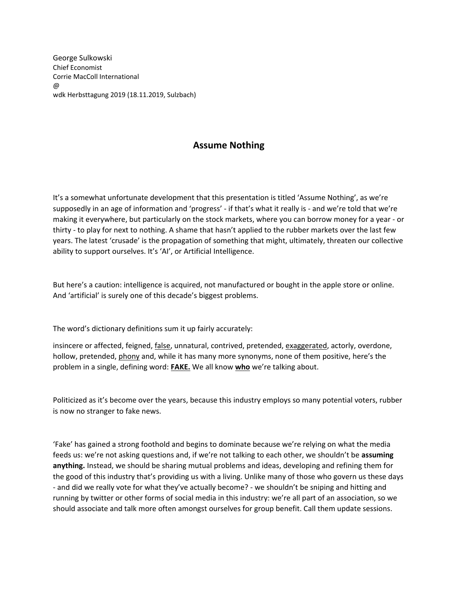George Sulkowski Chief Economist Corrie MacColl International @ wdk Herbsttagung 2019 (18.11.2019, Sulzbach)

## **Assume Nothing**

It's a somewhat unfortunate development that this presentation is titled 'Assume Nothing', as we're supposedly in an age of information and 'progress' - if that's what it really is - and we're told that we're making it everywhere, but particularly on the stock markets, where you can borrow money for a year - or thirty - to play for next to nothing. A shame that hasn't applied to the rubber markets over the last few years. The latest 'crusade' is the propagation of something that might, ultimately, threaten our collective ability to support ourselves. It's 'AI', or Artificial Intelligence.

But here's a caution: intelligence is acquired, not manufactured or bought in the apple store or online. And 'artificial' is surely one of this decade's biggest problems.

The word's dictionary definitions sum it up fairly accurately:

insincere or affected, feigned, *false*, unnatural, contrived, pretended, exaggerated, actorly, overdone, hollow, pretended, phony and, while it has many more synonyms, none of them positive, here's the problem in a single, defining word: **FAKE.** We all know **who** we're talking about.

Politicized as it's become over the years, because this industry employs so many potential voters, rubber is now no stranger to fake news.

'Fake' has gained a strong foothold and begins to dominate because we're relying on what the media feeds us: we're not asking questions and, if we're not talking to each other, we shouldn't be **assuming anything.** Instead, we should be sharing mutual problems and ideas, developing and refining them for the good of this industry that's providing us with a living. Unlike many of those who govern us these days - and did we really vote for what they've actually become? - we shouldn't be sniping and hitting and running by twitter or other forms of social media in this industry: we're all part of an association, so we should associate and talk more often amongst ourselves for group benefit. Call them update sessions.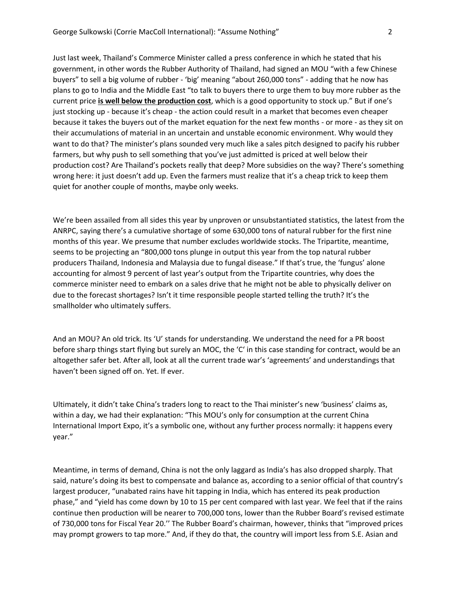Just last week, Thailand's Commerce Minister called a press conference in which he stated that his government, in other words the Rubber Authority of Thailand, had signed an MOU "with a few Chinese buyers" to sell a big volume of rubber - 'big' meaning "about 260,000 tons" - adding that he now has plans to go to India and the Middle East "to talk to buyers there to urge them to buy more rubber as the current price **is well below the production cost**, which is a good opportunity to stock up." But if one's just stocking up - because it's cheap - the action could result in a market that becomes even cheaper because it takes the buyers out of the market equation for the next few months - or more - as they sit on their accumulations of material in an uncertain and unstable economic environment. Why would they want to do that? The minister's plans sounded very much like a sales pitch designed to pacify his rubber farmers, but why push to sell something that you've just admitted is priced at well below their production cost? Are Thailand's pockets really that deep? More subsidies on the way? There's something wrong here: it just doesn't add up. Even the farmers must realize that it's a cheap trick to keep them quiet for another couple of months, maybe only weeks.

We're been assailed from all sides this year by unproven or unsubstantiated statistics, the latest from the ANRPC, saying there's a cumulative shortage of some 630,000 tons of natural rubber for the first nine months of this year. We presume that number excludes worldwide stocks. The Tripartite, meantime, seems to be projecting an "800,000 tons plunge in output this year from the top natural rubber producers Thailand, Indonesia and Malaysia due to fungal disease." If that's true, the 'fungus' alone accounting for almost 9 percent of last year's output from the Tripartite countries, why does the commerce minister need to embark on a sales drive that he might not be able to physically deliver on due to the forecast shortages? Isn't it time responsible people started telling the truth? It's the smallholder who ultimately suffers.

And an MOU? An old trick. Its 'U' stands for understanding. We understand the need for a PR boost before sharp things start flying but surely an MOC, the 'C' in this case standing for contract, would be an altogether safer bet. After all, look at all the current trade war's 'agreements' and understandings that haven't been signed off on. Yet. If ever.

Ultimately, it didn't take China's traders long to react to the Thai minister's new 'business' claims as, within a day, we had their explanation: "This MOU's only for consumption at the current China International Import Expo, it's a symbolic one, without any further process normally: it happens every year."

Meantime, in terms of demand, China is not the only laggard as India's has also dropped sharply. That said, nature's doing its best to compensate and balance as, according to a senior official of that country's largest producer, "unabated rains have hit tapping in India, which has entered its peak production phase," and "yield has come down by 10 to 15 per cent compared with last year. We feel that if the rains continue then production will be nearer to 700,000 tons, lower than the Rubber Board's revised estimate of 730,000 tons for Fiscal Year 20.'' The Rubber Board's chairman, however, thinks that "improved prices may prompt growers to tap more." And, if they do that, the country will import less from S.E. Asian and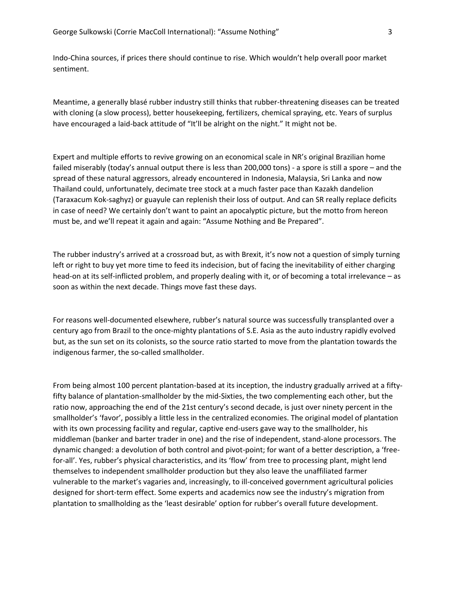Indo-China sources, if prices there should continue to rise. Which wouldn't help overall poor market sentiment.

Meantime, a generally blasé rubber industry still thinks that rubber-threatening diseases can be treated with cloning (a slow process), better housekeeping, fertilizers, chemical spraying, etc. Years of surplus have encouraged a laid-back attitude of "It'll be alright on the night." It might not be.

Expert and multiple efforts to revive growing on an economical scale in NR's original Brazilian home failed miserably (today's annual output there is less than 200,000 tons) - a spore is still a spore – and the spread of these natural aggressors, already encountered in Indonesia, Malaysia, Sri Lanka and now Thailand could, unfortunately, decimate tree stock at a much faster pace than Kazakh dandelion (Taraxacum Kok-saghyz) or guayule can replenish their loss of output. And can SR really replace deficits in case of need? We certainly don't want to paint an apocalyptic picture, but the motto from hereon must be, and we'll repeat it again and again: "Assume Nothing and Be Prepared".

The rubber industry's arrived at a crossroad but, as with Brexit, it's now not a question of simply turning left or right to buy yet more time to feed its indecision, but of facing the inevitability of either charging head-on at its self-inflicted problem, and properly dealing with it, or of becoming a total irrelevance – as soon as within the next decade. Things move fast these days.

For reasons well-documented elsewhere, rubber's natural source was successfully transplanted over a century ago from Brazil to the once-mighty plantations of S.E. Asia as the auto industry rapidly evolved but, as the sun set on its colonists, so the source ratio started to move from the plantation towards the indigenous farmer, the so-called smallholder.

From being almost 100 percent plantation-based at its inception, the industry gradually arrived at a fiftyfifty balance of plantation-smallholder by the mid-Sixties, the two complementing each other, but the ratio now, approaching the end of the 21st century's second decade, is just over ninety percent in the smallholder's 'favor', possibly a little less in the centralized economies. The original model of plantation with its own processing facility and regular, captive end-users gave way to the smallholder, his middleman (banker and barter trader in one) and the rise of independent, stand-alone processors. The dynamic changed: a devolution of both control and pivot-point; for want of a better description, a 'freefor-all'. Yes, rubber's physical characteristics, and its 'flow' from tree to processing plant, might lend themselves to independent smallholder production but they also leave the unaffiliated farmer vulnerable to the market's vagaries and, increasingly, to ill-conceived government agricultural policies designed for short-term effect. Some experts and academics now see the industry's migration from plantation to smallholding as the 'least desirable' option for rubber's overall future development.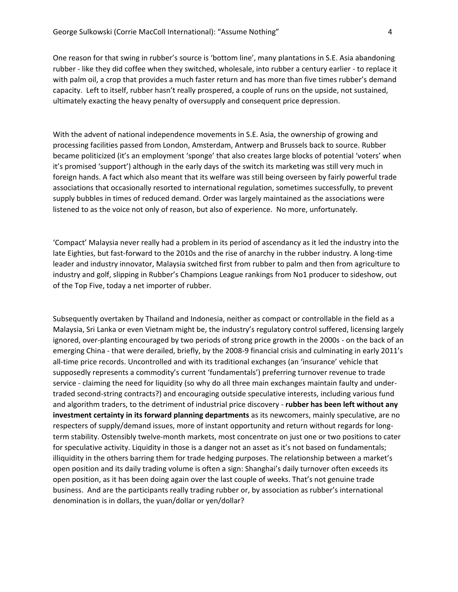One reason for that swing in rubber's source is 'bottom line', many plantations in S.E. Asia abandoning rubber - like they did coffee when they switched, wholesale, into rubber a century earlier - to replace it with palm oil, a crop that provides a much faster return and has more than five times rubber's demand capacity. Left to itself, rubber hasn't really prospered, a couple of runs on the upside, not sustained, ultimately exacting the heavy penalty of oversupply and consequent price depression.

With the advent of national independence movements in S.E. Asia, the ownership of growing and processing facilities passed from London, Amsterdam, Antwerp and Brussels back to source. Rubber became politicized (it's an employment 'sponge' that also creates large blocks of potential 'voters' when it's promised 'support') although in the early days of the switch its marketing was still very much in foreign hands. A fact which also meant that its welfare was still being overseen by fairly powerful trade associations that occasionally resorted to international regulation, sometimes successfully, to prevent supply bubbles in times of reduced demand. Order was largely maintained as the associations were listened to as the voice not only of reason, but also of experience. No more, unfortunately.

'Compact' Malaysia never really had a problem in its period of ascendancy as it led the industry into the late Eighties, but fast-forward to the 2010s and the rise of anarchy in the rubber industry. A long-time leader and industry innovator, Malaysia switched first from rubber to palm and then from agriculture to industry and golf, slipping in Rubber's Champions League rankings from No1 producer to sideshow, out of the Top Five, today a net importer of rubber.

Subsequently overtaken by Thailand and Indonesia, neither as compact or controllable in the field as a Malaysia, Sri Lanka or even Vietnam might be, the industry's regulatory control suffered, licensing largely ignored, over-planting encouraged by two periods of strong price growth in the 2000s - on the back of an emerging China - that were derailed, briefly, by the 2008-9 financial crisis and culminating in early 2011's all-time price records. Uncontrolled and with its traditional exchanges (an 'insurance' vehicle that supposedly represents a commodity's current 'fundamentals') preferring turnover revenue to trade service - claiming the need for liquidity (so why do all three main exchanges maintain faulty and undertraded second-string contracts?) and encouraging outside speculative interests, including various fund and algorithm traders, to the detriment of industrial price discovery - **rubber has been left without any investment certainty in its forward planning departments** as its newcomers, mainly speculative, are no respecters of supply/demand issues, more of instant opportunity and return without regards for longterm stability. Ostensibly twelve-month markets, most concentrate on just one or two positions to cater for speculative activity. Liquidity in those is a danger not an asset as it's not based on fundamentals; illiquidity in the others barring them for trade hedging purposes. The relationship between a market's open position and its daily trading volume is often a sign: Shanghai's daily turnover often exceeds its open position, as it has been doing again over the last couple of weeks. That's not genuine trade business. And are the participants really trading rubber or, by association as rubber's international denomination is in dollars, the yuan/dollar or yen/dollar?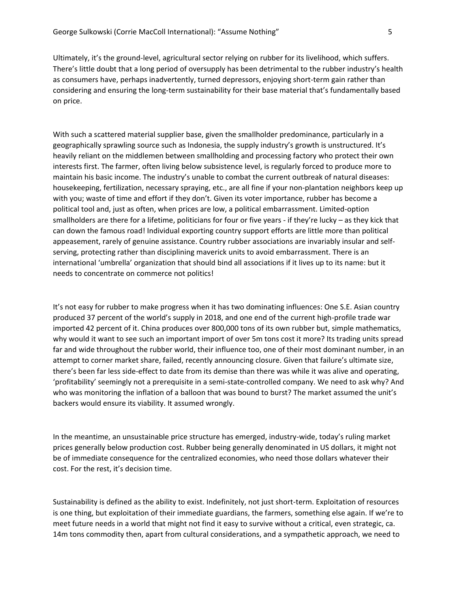Ultimately, it's the ground-level, agricultural sector relying on rubber for its livelihood, which suffers. There's little doubt that a long period of oversupply has been detrimental to the rubber industry's health as consumers have, perhaps inadvertently, turned depressors, enjoying short-term gain rather than considering and ensuring the long-term sustainability for their base material that's fundamentally based on price.

With such a scattered material supplier base, given the smallholder predominance, particularly in a geographically sprawling source such as Indonesia, the supply industry's growth is unstructured. It's heavily reliant on the middlemen between smallholding and processing factory who protect their own interests first. The farmer, often living below subsistence level, is regularly forced to produce more to maintain his basic income. The industry's unable to combat the current outbreak of natural diseases: housekeeping, fertilization, necessary spraying, etc., are all fine if your non-plantation neighbors keep up with you; waste of time and effort if they don't. Given its voter importance, rubber has become a political tool and, just as often, when prices are low, a political embarrassment. Limited-option smallholders are there for a lifetime, politicians for four or five years - if they're lucky – as they kick that can down the famous road! Individual exporting country support efforts are little more than political appeasement, rarely of genuine assistance. Country rubber associations are invariably insular and selfserving, protecting rather than disciplining maverick units to avoid embarrassment. There is an international 'umbrella' organization that should bind all associations if it lives up to its name: but it needs to concentrate on commerce not politics!

It's not easy for rubber to make progress when it has two dominating influences: One S.E. Asian country produced 37 percent of the world's supply in 2018, and one end of the current high-profile trade war imported 42 percent of it. China produces over 800,000 tons of its own rubber but, simple mathematics, why would it want to see such an important import of over 5m tons cost it more? Its trading units spread far and wide throughout the rubber world, their influence too, one of their most dominant number, in an attempt to corner market share, failed, recently announcing closure. Given that failure's ultimate size, there's been far less side-effect to date from its demise than there was while it was alive and operating, 'profitability' seemingly not a prerequisite in a semi-state-controlled company. We need to ask why? And who was monitoring the inflation of a balloon that was bound to burst? The market assumed the unit's backers would ensure its viability. It assumed wrongly.

In the meantime, an unsustainable price structure has emerged, industry-wide, today's ruling market prices generally below production cost. Rubber being generally denominated in US dollars, it might not be of immediate consequence for the centralized economies, who need those dollars whatever their cost. For the rest, it's decision time.

Sustainability is defined as the ability to exist. Indefinitely, not just short-term. Exploitation of resources is one thing, but exploitation of their immediate guardians, the farmers, something else again. If we're to meet future needs in a world that might not find it easy to survive without a critical, even strategic, ca. 14m tons commodity then, apart from cultural considerations, and a sympathetic approach, we need to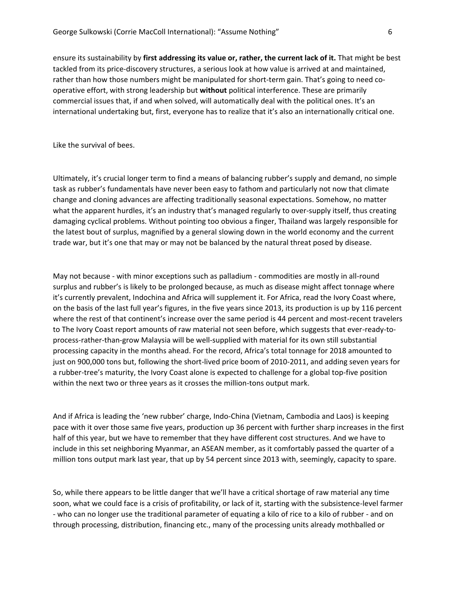ensure its sustainability by **first addressing its value or, rather, the current lack of it.** That might be best tackled from its price-discovery structures, a serious look at how value is arrived at and maintained, rather than how those numbers might be manipulated for short-term gain. That's going to need cooperative effort, with strong leadership but **without** political interference. These are primarily commercial issues that, if and when solved, will automatically deal with the political ones. It's an international undertaking but, first, everyone has to realize that it's also an internationally critical one.

Like the survival of bees.

Ultimately, it's crucial longer term to find a means of balancing rubber's supply and demand, no simple task as rubber's fundamentals have never been easy to fathom and particularly not now that climate change and cloning advances are affecting traditionally seasonal expectations. Somehow, no matter what the apparent hurdles, it's an industry that's managed regularly to over-supply itself, thus creating damaging cyclical problems. Without pointing too obvious a finger, Thailand was largely responsible for the latest bout of surplus, magnified by a general slowing down in the world economy and the current trade war, but it's one that may or may not be balanced by the natural threat posed by disease.

May not because - with minor exceptions such as palladium - commodities are mostly in all-round surplus and rubber's is likely to be prolonged because, as much as disease might affect tonnage where it's currently prevalent, Indochina and Africa will supplement it. For Africa, read the Ivory Coast where, on the basis of the last full year's figures, in the five years since 2013, its production is up by 116 percent where the rest of that continent's increase over the same period is 44 percent and most-recent travelers to The Ivory Coast report amounts of raw material not seen before, which suggests that ever-ready-toprocess-rather-than-grow Malaysia will be well-supplied with material for its own still substantial processing capacity in the months ahead. For the record, Africa's total tonnage for 2018 amounted to just on 900,000 tons but, following the short-lived price boom of 2010-2011, and adding seven years for a rubber-tree's maturity, the Ivory Coast alone is expected to challenge for a global top-five position within the next two or three years as it crosses the million-tons output mark.

And if Africa is leading the 'new rubber' charge, Indo-China (Vietnam, Cambodia and Laos) is keeping pace with it over those same five years, production up 36 percent with further sharp increases in the first half of this year, but we have to remember that they have different cost structures. And we have to include in this set neighboring Myanmar, an ASEAN member, as it comfortably passed the quarter of a million tons output mark last year, that up by 54 percent since 2013 with, seemingly, capacity to spare.

So, while there appears to be little danger that we'll have a critical shortage of raw material any time soon, what we could face is a crisis of profitability, or lack of it, starting with the subsistence-level farmer - who can no longer use the traditional parameter of equating a kilo of rice to a kilo of rubber - and on through processing, distribution, financing etc., many of the processing units already mothballed or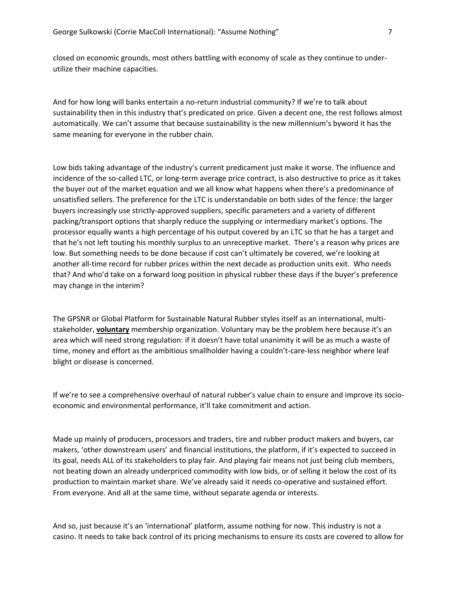closed on economic grounds, most others battling with economy of scale as they continue to underutilize their machine capacities.

And for how long will banks entertain a no-return industrial community? If we're to talk about sustainability then in this industry that's predicated on price. Given a decent one, the rest follows almost automatically. We can't assume that because sustainability is the new millennium's byword it has the same meaning for everyone in the rubber chain.

Low bids taking advantage of the industry's current predicament just make it worse. The influence and incidence of the so-called LTC, or long-term average price contract, is also destructive to price as it takes the buyer out of the market equation and we all know what happens when there's a predominance of unsatisfied sellers. The preference for the LTC is understandable on both sides of the fence: the larger buyers increasingly use strictly-approved suppliers, specific parameters and a variety of different packing/transport options that sharply reduce the supplying or intermediary market's options. The processor equally wants a high percentage of his output covered by an LTC so that he has a target and that he's not left touting his monthly surplus to an unreceptive market. There's a reason why prices are low. But something needs to be done because if cost can't ultimately be covered, we're looking at another all-time record for rubber prices within the next decade as production units exit. Who needs that? And who'd take on a forward long position in physical rubber these days if the buyer's preference may change in the interim?

The GPSNR or Global Platform for Sustainable Natural Rubber styles itself as an international, multistakeholder, **voluntary** membership organization. Voluntary may be the problem here because it's an area which will need strong regulation: if it doesn't have total unanimity it will be as much a waste of time, money and effort as the ambitious smallholder having a couldn't-care-less neighbor where leaf blight or disease is concerned.

If we're to see a comprehensive overhaul of natural rubber's value chain to ensure and improve its socioeconomic and environmental performance, it'll take commitment and action.

Made up mainly of producers, processors and traders, tire and rubber product makers and buyers, car makers, 'other downstream users' and financial institutions, the platform, if it's expected to succeed in its goal, needs ALL of its stakeholders to play fair. And playing fair means not just being club members, not beating down an already underpriced commodity with low bids, or of selling it below the cost of its production to maintain market share. We've already said it needs co-operative and sustained effort. From everyone. And all at the same time, without separate agenda or interests.

And so, just because it's an 'international' platform, assume nothing for now. This industry is not a casino. It needs to take back control of its pricing mechanisms to ensure its costs are covered to allow for